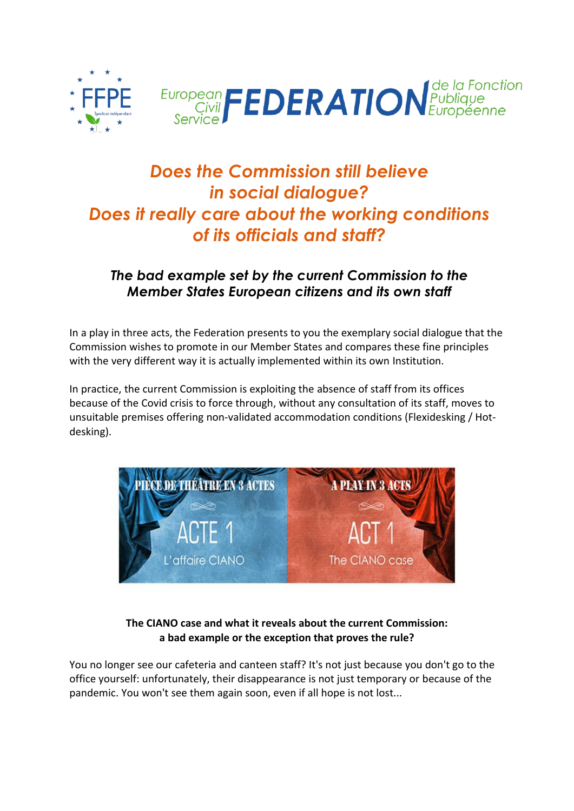



## *Does the Commission still believe in social dialogue? Does it really care about the working conditions of its officials and staff?*

## *The bad example set by the current Commission to the Member States European citizens and its own staff*

In a play in three acts, the Federation presents to you the exemplary social dialogue that the Commission wishes to promote in our Member States and compares these fine principles with the very different way it is actually implemented within its own Institution.

In practice, the current Commission is exploiting the absence of staff from its offices because of the Covid crisis to force through, without any consultation of its staff, moves to unsuitable premises offering non-validated accommodation conditions (Flexidesking / Hotdesking).



**The CIANO case and what it reveals about the current Commission: a bad example or the exception that proves the rule?**

You no longer see our cafeteria and canteen staff? It's not just because you don't go to the office yourself: unfortunately, their disappearance is not just temporary or because of the pandemic. You won't see them again soon, even if all hope is not lost...